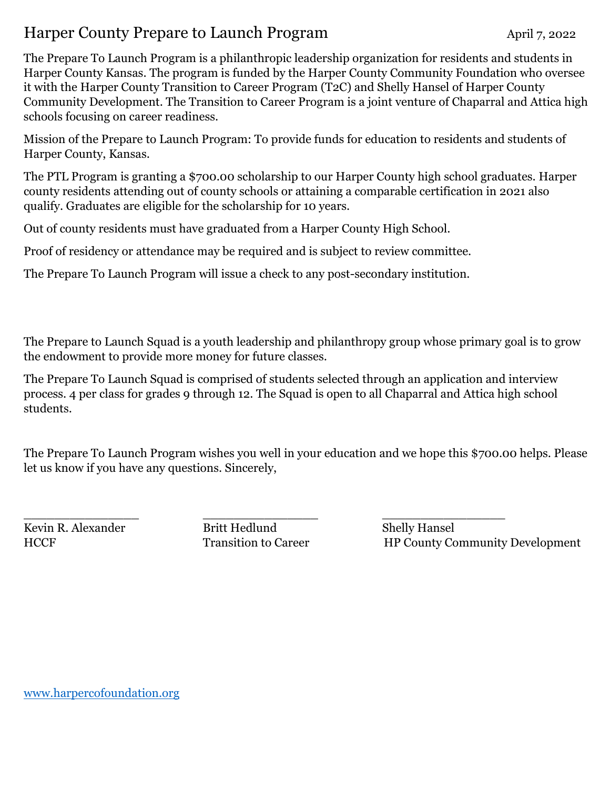## Harper County Prepare to Launch Program April 7, 2022

The Prepare To Launch Program is a philanthropic leadership organization for residents and students in Harper County Kansas. The program is funded by the Harper County Community Foundation who oversee it with the Harper County Transition to Career Program (T2C) and Shelly Hansel of Harper County Community Development. The Transition to Career Program is a joint venture of Chaparral and Attica high schools focusing on career readiness.

Mission of the Prepare to Launch Program: To provide funds for education to residents and students of Harper County, Kansas.

The PTL Program is granting a \$700.00 scholarship to our Harper County high school graduates. Harper county residents attending out of county schools or attaining a comparable certification in 2021 also qualify. Graduates are eligible for the scholarship for 10 years.

Out of county residents must have graduated from a Harper County High School.

Proof of residency or attendance may be required and is subject to review committee.

The Prepare To Launch Program will issue a check to any post-secondary institution.

The Prepare to Launch Squad is a youth leadership and philanthropy group whose primary goal is to grow the endowment to provide more money for future classes.

The Prepare To Launch Squad is comprised of students selected through an application and interview process. 4 per class for grades 9 through 12. The Squad is open to all Chaparral and Attica high school students.

The Prepare To Launch Program wishes you well in your education and we hope this \$700.00 helps. Please let us know if you have any questions. Sincerely,

Kevin R. Alexander Britt Hedlund Shelly Hansel

\_\_\_\_\_\_\_\_\_\_\_\_\_\_\_ \_\_\_\_\_\_\_\_\_\_\_\_\_\_\_ \_\_\_\_\_\_\_\_\_\_\_\_\_\_\_\_ HCCF Transition to Career HP County Community Development

[www.harpercofoundation.org](http://www.harpercofoundation.org/)